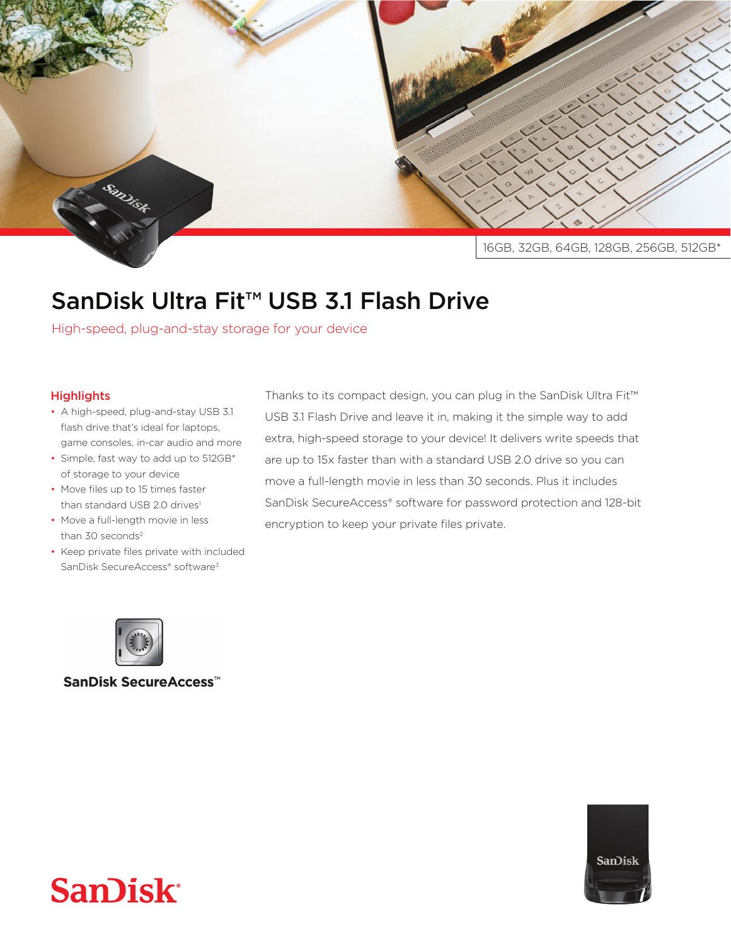

## SanDisk Ultra Fit<sup>™</sup> USB 3.1 Flash Drive

High-speed, plug-and-stay storage for your device

## **Highlights**

- A high-speed, plug-and-stay USB 3.1 flash drive that's ideal for laptops, game consoles, in-car audio and more
- Simple, fast way to add up to 512GB\* of storage to your device
- Move files up to 15 times faster than standard USB 2.0 drives<sup>1</sup>
- Move a full-length movie in less than  $30$  seconds<sup>2</sup>
- Keep private files private with included SanDisk SecureAccess® software<sup>3</sup>

Thanks to its compact design, you can plug in the SanDisk Ultra Fit™ USB 3.1 Flash Drive and leave it in, making it the simple way to add extra, high-speed storage to your device! It delivers write speeds that are up to 15x faster than with a standard USB 2.0 drive so you can move a full-length movie in less than 30 seconds. Plus it includes SanDisk SecureAccess® software for password protection and 128-bit encryption to keep your private files private.



SanDisk SecureAccess<sup>™</sup>